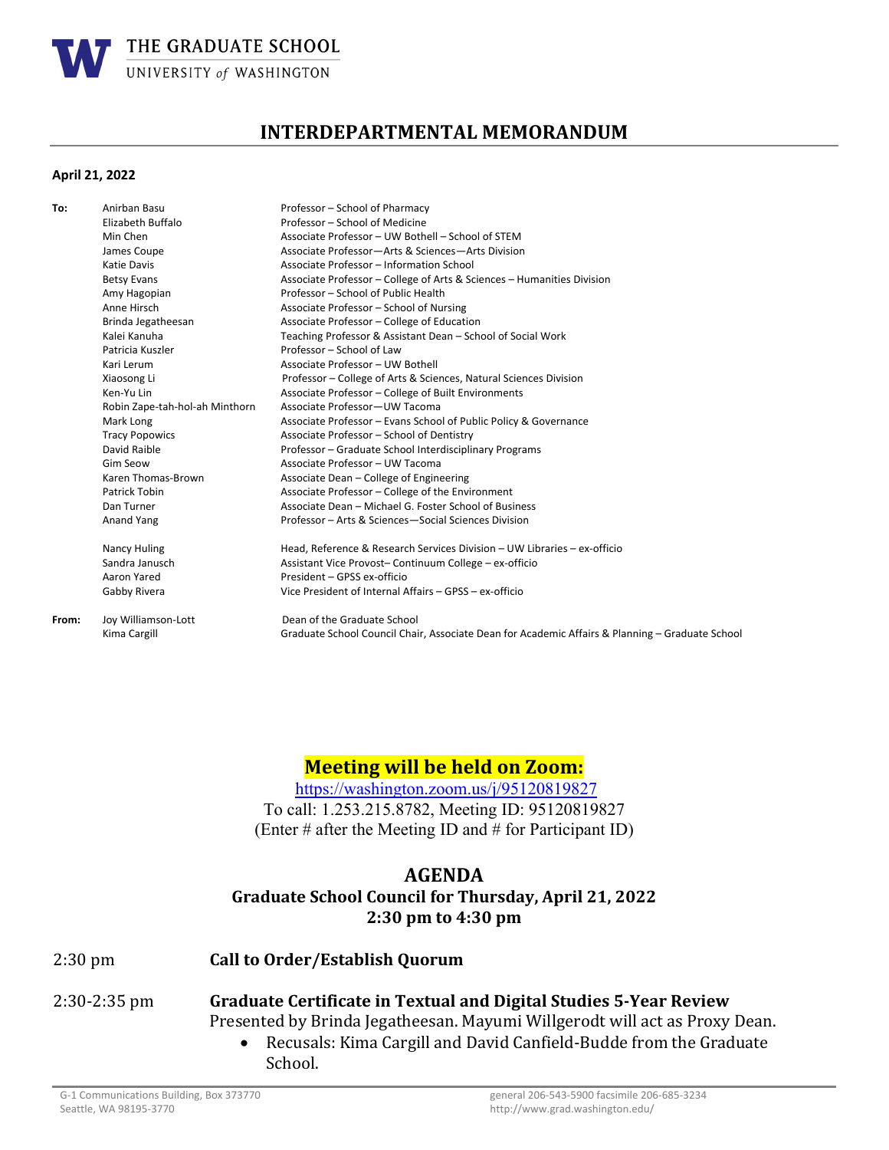

# **INTERDEPARTMENTAL MEMORANDUM**

#### **April 21, 2022**

| To:   | Anirban Basu                   | Professor - School of Pharmacy                                                                  |
|-------|--------------------------------|-------------------------------------------------------------------------------------------------|
|       | Elizabeth Buffalo              | Professor - School of Medicine                                                                  |
|       | Min Chen                       | Associate Professor - UW Bothell - School of STEM                                               |
|       | James Coupe                    | Associate Professor-Arts & Sciences-Arts Division                                               |
|       | Katie Davis                    | Associate Professor - Information School                                                        |
|       | <b>Betsy Evans</b>             | Associate Professor - College of Arts & Sciences - Humanities Division                          |
|       | Amy Hagopian                   | Professor - School of Public Health                                                             |
|       | Anne Hirsch                    | Associate Professor - School of Nursing                                                         |
|       | Brinda Jegatheesan             | Associate Professor - College of Education                                                      |
|       | Kalei Kanuha                   | Teaching Professor & Assistant Dean - School of Social Work                                     |
|       | Patricia Kuszler               | Professor - School of Law                                                                       |
|       | Kari Lerum                     | Associate Professor - UW Bothell                                                                |
|       | Xiaosong Li                    | Professor – College of Arts & Sciences, Natural Sciences Division                               |
|       | Ken-Yu Lin                     | Associate Professor - College of Built Environments                                             |
|       | Robin Zape-tah-hol-ah Minthorn | Associate Professor-UW Tacoma                                                                   |
|       | Mark Long                      | Associate Professor - Evans School of Public Policy & Governance                                |
|       | <b>Tracy Popowics</b>          | Associate Professor - School of Dentistry                                                       |
|       | David Raible                   | Professor - Graduate School Interdisciplinary Programs                                          |
|       | <b>Gim Seow</b>                | Associate Professor - UW Tacoma                                                                 |
|       | Karen Thomas-Brown             | Associate Dean - College of Engineering                                                         |
|       | Patrick Tobin                  | Associate Professor - College of the Environment                                                |
|       | Dan Turner                     | Associate Dean - Michael G. Foster School of Business                                           |
|       | Anand Yang                     | Professor - Arts & Sciences-Social Sciences Division                                            |
|       | Nancy Huling                   | Head, Reference & Research Services Division - UW Libraries - ex-officio                        |
|       | Sandra Janusch                 | Assistant Vice Provost- Continuum College - ex-officio                                          |
|       | Aaron Yared                    | President - GPSS ex-officio                                                                     |
|       | Gabby Rivera                   | Vice President of Internal Affairs - GPSS - ex-officio                                          |
| From: | Joy Williamson-Lott            | Dean of the Graduate School                                                                     |
|       | Kima Cargill                   | Graduate School Council Chair, Associate Dean for Academic Affairs & Planning - Graduate School |
|       |                                |                                                                                                 |

# **Meeting will be held on Zoom:**

https://washington.zoom.us/j/95120819827 To call: 1.253.215.8782, Meeting ID: 95120819827 (Enter # after the Meeting ID and # for Participant ID)

#### **AGENDA**

### **Graduate School Council for Thursday, April 21, 2022 2:30 pm to 4:30 pm**

| $2:30 \text{ pm}$ | <b>Call to Order/Establish Quorum</b> |  |
|-------------------|---------------------------------------|--|
|                   |                                       |  |

- 2:30-2:35 pm
- **Graduate Certificate in Textual and Digital Studies 5‐Year Review** Presented by Brinda Jegatheesan. Mayumi Willgerodt will act as Proxy Dean.
	- Recusals: Kima Cargill and David Canfield-Budde from the Graduate School.